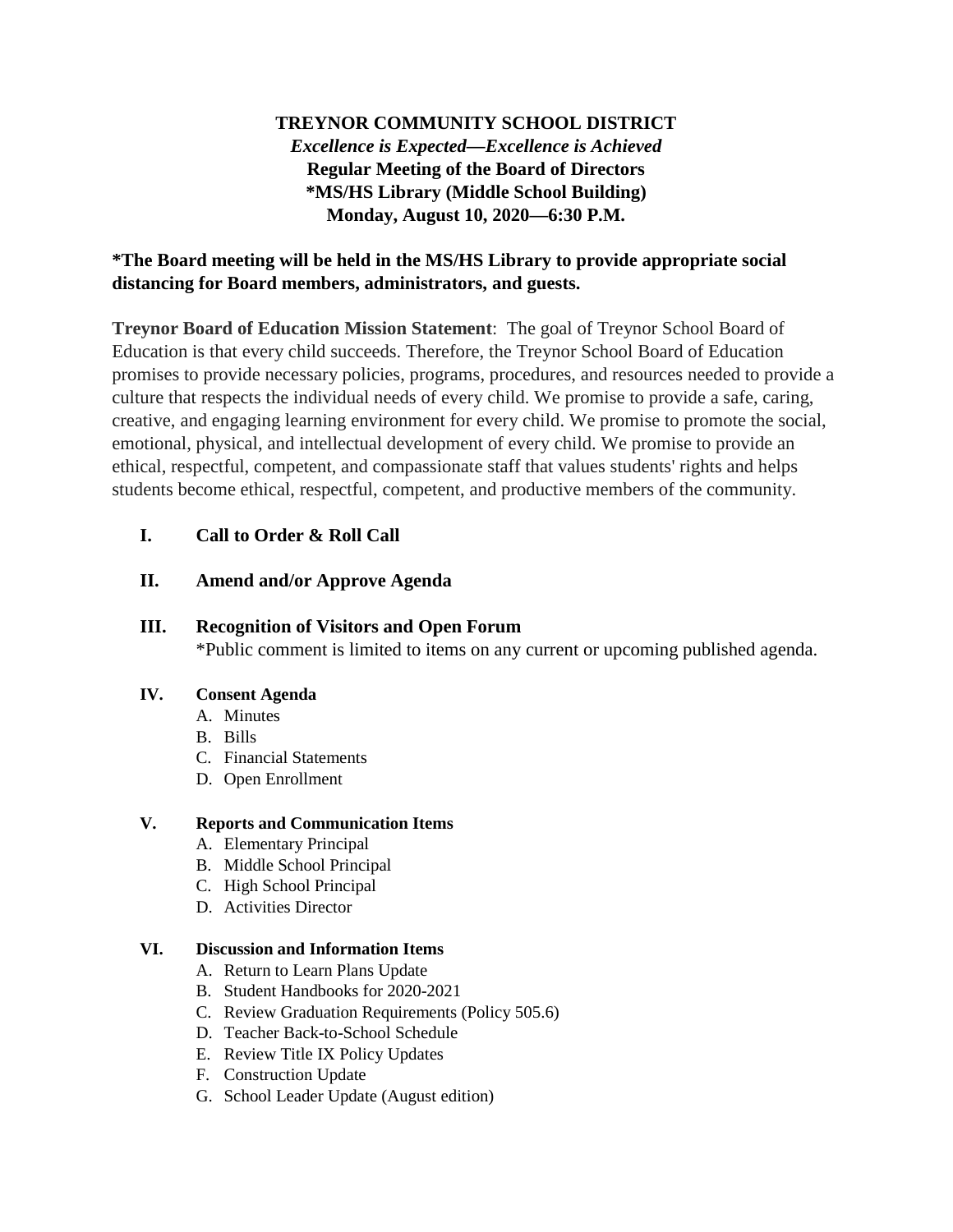# **TREYNOR COMMUNITY SCHOOL DISTRICT** *Excellence is Expected—Excellence is Achieved* **Regular Meeting of the Board of Directors \*MS/HS Library (Middle School Building) Monday, August 10, 2020—6:30 P.M.**

### **\*The Board meeting will be held in the MS/HS Library to provide appropriate social distancing for Board members, administrators, and guests.**

**Treynor Board of Education Mission Statement**: The goal of Treynor School Board of Education is that every child succeeds. Therefore, the Treynor School Board of Education promises to provide necessary policies, programs, procedures, and resources needed to provide a culture that respects the individual needs of every child. We promise to provide a safe, caring, creative, and engaging learning environment for every child. We promise to promote the social, emotional, physical, and intellectual development of every child. We promise to provide an ethical, respectful, competent, and compassionate staff that values students' rights and helps students become ethical, respectful, competent, and productive members of the community.

### **I. Call to Order & Roll Call**

### **II. Amend and/or Approve Agenda**

#### **III. Recognition of Visitors and Open Forum**

\*Public comment is limited to items on any current or upcoming published agenda.

#### **IV. Consent Agenda**

- A. Minutes
- B. Bills
- C. Financial Statements
- D. Open Enrollment

#### **V. Reports and Communication Items**

- A. Elementary Principal
- B. Middle School Principal
- C. High School Principal
- D. Activities Director

#### **VI. Discussion and Information Items**

- A. Return to Learn Plans Update
- B. Student Handbooks for 2020-2021
- C. Review Graduation Requirements (Policy 505.6)
- D. Teacher Back-to-School Schedule
- E. Review Title IX Policy Updates
- F. Construction Update
- G. School Leader Update (August edition)